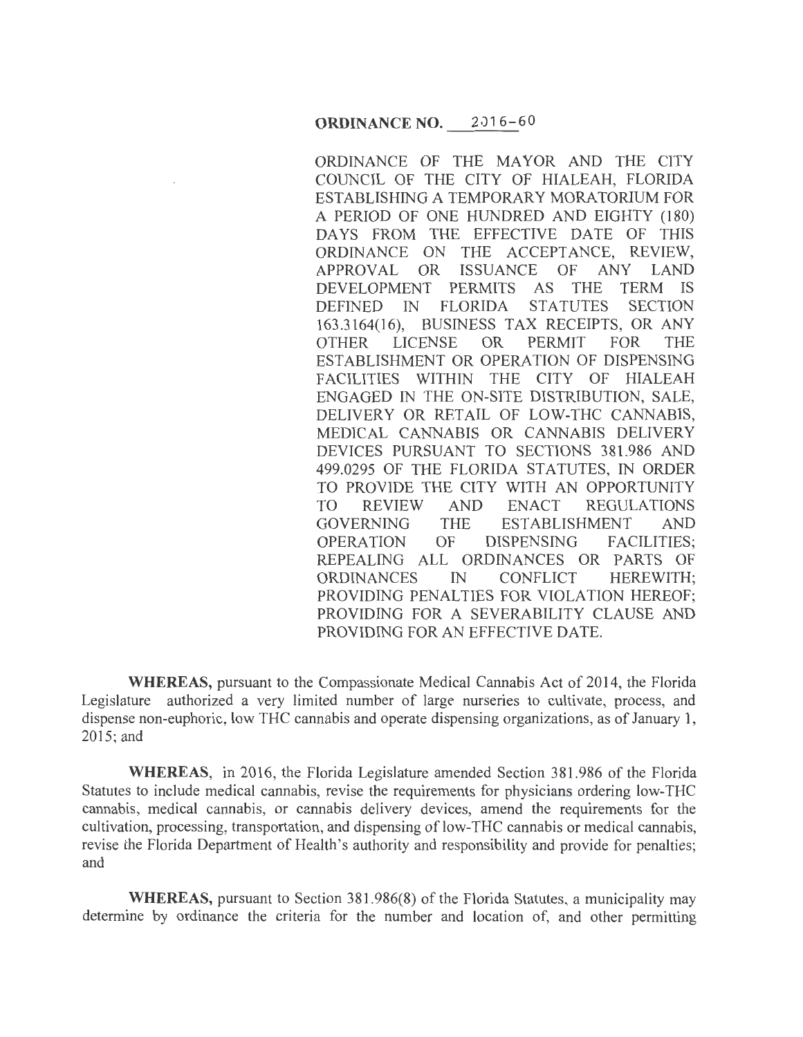ORDINANCE OF THE MAYOR AND THE CITY COUNCIL OF THE CITY OF HIALEAH, FLORIDA ESTABLISHING A TEMPORARY MORATORIUM FOR A PERIOD OF ONE HUNDRED AND EIGHTY (180) DAYS FROM THE EFFECTIVE DATE OF THIS ORDINANCE ON THE ACCEPTANCE, REVIEW,<br>APPROVAL OR ISSUANCE OF ANY LAND APPROVAL OR ISSUANCE OF ANY LAND DEVELOPMENT PERMITS AS THE TERM IS<br>DEFINED IN FLORIDA STATUTES SECTION DEFINED IN FLORIDA STATUTES 163.3164(16), BUSINESS TAX RECEIPTS, OR ANY OTHER LICENSE OR PERMIT FOR THE ESTABLISHMENT OR OPERATION OF DISPENSING FACILITIES WITHIN THE CITY OF HIALEAH ENGAGED IN THE ON-SITE DISTRIBUTION, SALE, DELIVERY OR RETAIL OF LOW-THC CANNABIS, MEDICAL CANNABIS OR CANNABIS DELIVERY DEVICES PURSUANT TO SECTIONS 381.986 AND 499.0295 OF THE FLORIDA STATUTES, IN ORDER TO PROVIDE THE CITY WITH AN OPPORTUNITY TO REVIEW AND ENACT REGULATIONS GOVERNING THE ESTABLISHMENT AND OPERATION OF DISPENSING FACILITIES; REPEALING ALL ORDINANCES OR PARTS OF ORDINANCES IN CONFLICT HEREWITH; PROVIDING PENALTIES FOR VIOLATION HEREOF; PROVIDING FOR A SEVERABILITY CLAUSE AND PROVIDING FOR AN EFFECTIVE DATE.

**WHEREAS,** pursuant to the Compassionate Medical Cannabis Act of 2014, the Florida Legislature authorized a very limited number of large nurseries to cultivate, process, and dispense non-euphoric, low THC cannabis and operate dispensing organizations, as of January 1, 2015; and

**WHEREAS,** in 2016, the Florida Legislature amended Section 381.986 of the Florida Statutes to include medical cannabis, revise the requirements for physicians ordering low-THC cannabis, medical cannabis, or cannabis delivery devices, amend the requirements for the cultivation, processing, transportation, and dispensing of low-THC cannabis or medical cannabis, revise the Florida Department of Health's authority and responsibility and provide for penalties; and

**WHEREAS,** pursuant to Section 381.986(8) of the Florida Statutes, a municipality may determine by ordinance the criteria for the number and location of, and other permitting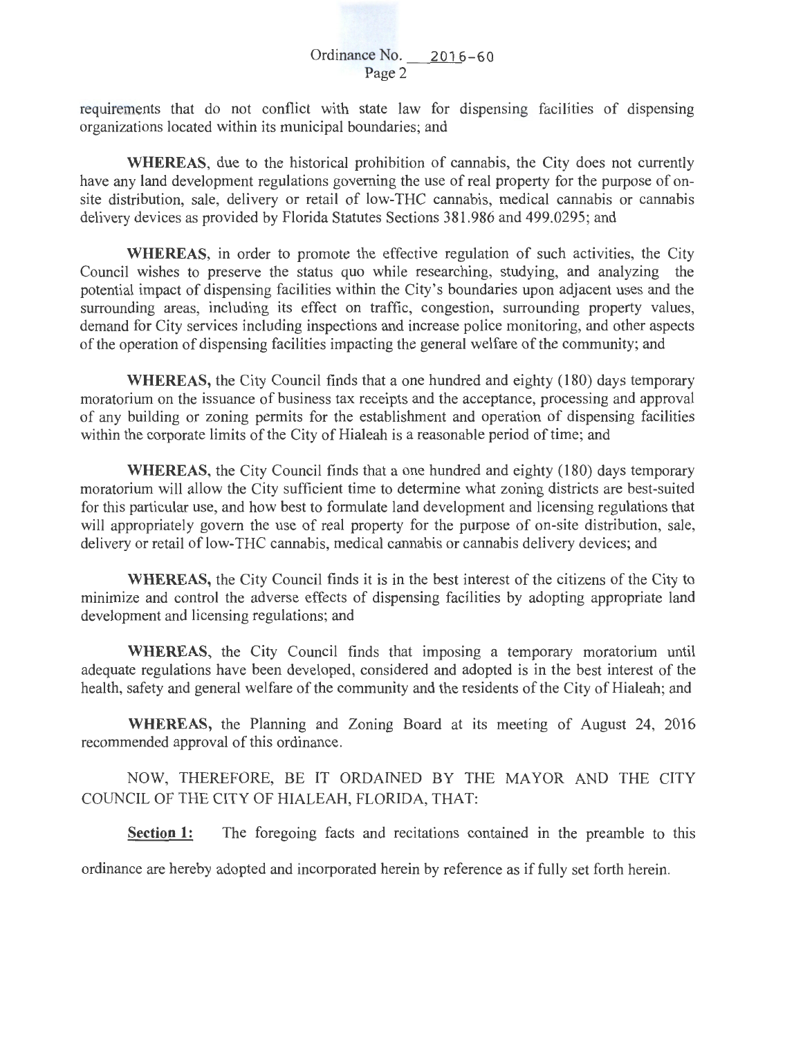requirements that do not conflict with state law for dispensing facilities of dispensing organizations located within its municipal boundaries; and

**WHEREAS,** due to the historical prohibition of cannabis, the City does not currently have any land development regulations governing the use of real property for the purpose of onsite distribution, sale, delivery or retail of low-THC cannabis, medical cannabis or cannabis delivery devices as provided by Florida Statutes Sections 381.986 and 499.0295; and

**WHEREAS,** in order to promote the effective regulation of such activities, the City Council wishes to preserve the status quo while researching, studying, and analyzing the potential impact of dispensing facilities within the City's boundaries upon adjacent uses and the surrounding areas, including its effect on traffic, congestion, surrounding property values, demand for City services including inspections and increase police monitoring, and other aspects of the operation of dispensing facilities impacting the general welfare of the community; and

**WHEREAS,** the City Council finds that a one hundred and eighty (180) days temporary moratorium on the issuance of business tax receipts and the acceptance, processing and approval of any building or zoning permits for the establishment and operation of dispensing facilities within the corporate limits of the City of Hialeah is a reasonable period of time; and

**WHEREAS,** the City Council finds that a one hundred and eighty (180) days temporary moratorium will allow the City sufficient time to determine what zoning districts are best-suited for this particular use, and how best to formulate land development and licensing regulations that will appropriately govern the use of real property for the purpose of on-site distribution, sale, delivery or retail of low-THC cannabis, medical cannabis or cannabis delivery devices; and

**WHEREAS,** the City Council finds it is in the best interest of the citizens of the City to minimize and control the adverse effects of dispensing facilities by adopting appropriate land development and licensing regulations; and

**WHEREAS,** the City Council finds that imposing a temporary moratorium until adequate regulations have been developed, considered and adopted is in the best interest of the health, safety and general welfare of the community and the residents of the City of Hialeah; and

**WHEREAS,** the Planning and Zoning Board at its meeting of August 24, 2016 recommended approval of this ordinance.

NOW, THEREFORE, BE IT ORDAINED BY THE MAYOR AND THE CITY COUNCIL OF THE CITY OF HIALEAH, FLORIDA, THAT:

**Section 1:** The foregoing facts and recitations contained in the preamble to this

ordinance are hereby adopted and incorporated herein by reference as if fully set forth herein.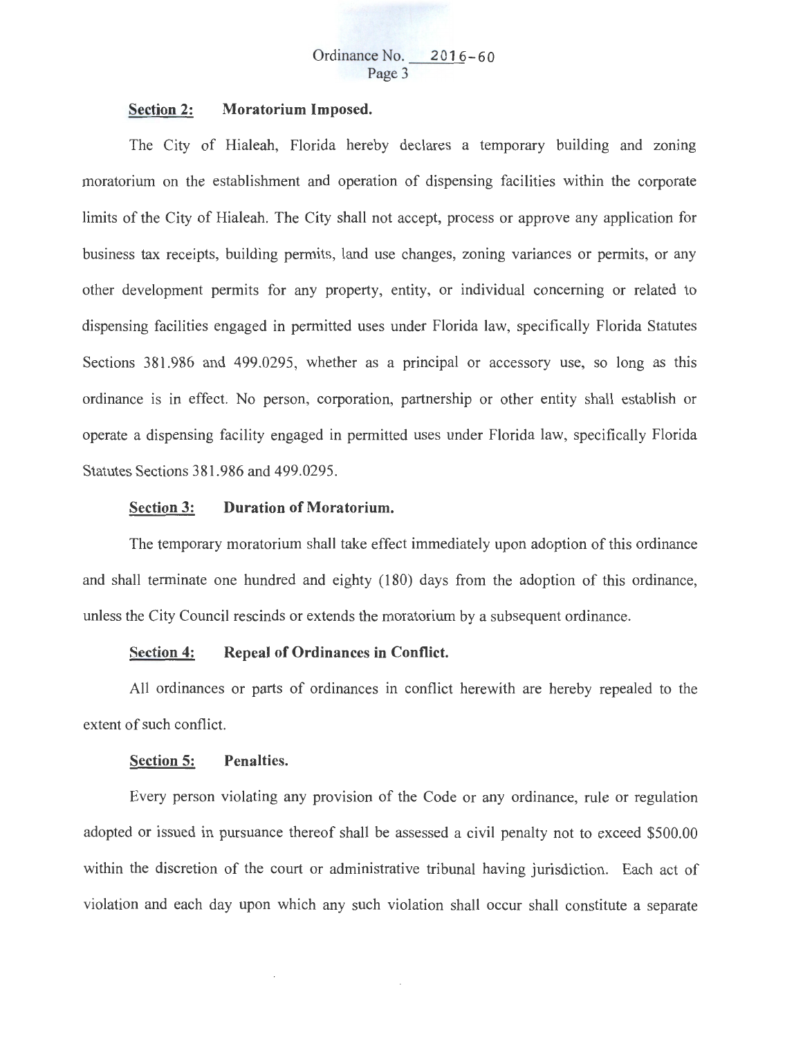# **Section 2: Moratorium Imposed.**

The City of Hialeah, Florida hereby declares a temporary building and zoning moratorium on the establishment and operation of dispensing facilities within the corporate limits of the City of Hialeah. The City shall not accept, process or approve any application for business tax receipts, building permits, land use changes, zoning variances or permits, or any other development permits for any property, entity, or individual concerning or related to dispensing facilities engaged in permitted uses under Florida law, specifically Florida Statutes Sections 381.986 and 499.0295, whether as a principal or accessory use, so long as this ordinance is in effect. No person, corporation, partnership or other entity shall establish or operate a dispensing facility engaged in permitted uses under Florida law, specifically Florida Statutes Sections 381.986 and 499.0295.

# **Section 3: Duration of Moratorium.**

The temporary moratorium shall take effect immediately upon adoption of this ordinance and shall terminate one hundred and eighty (180) days from the adoption of this ordinance, unless the City Council rescinds or extends the moratorium by a subsequent ordinance.

# **Section 4: Repeal of Ordinances in Conflict.**

All ordinances or parts of ordinances in conflict herewith are hereby repealed to the extent of such conflict.

#### **Section 5: Penalties.**

Every person violating any provision of the Code or any ordinance, rule or regulation adopted or issued in pursuance thereof shall be assessed a civil penalty not to exceed \$500.00 within the discretion of the court or administrative tribunal having jurisdiction. Each act of violation and each day upon which any such violation shall occur shall constitute a separate